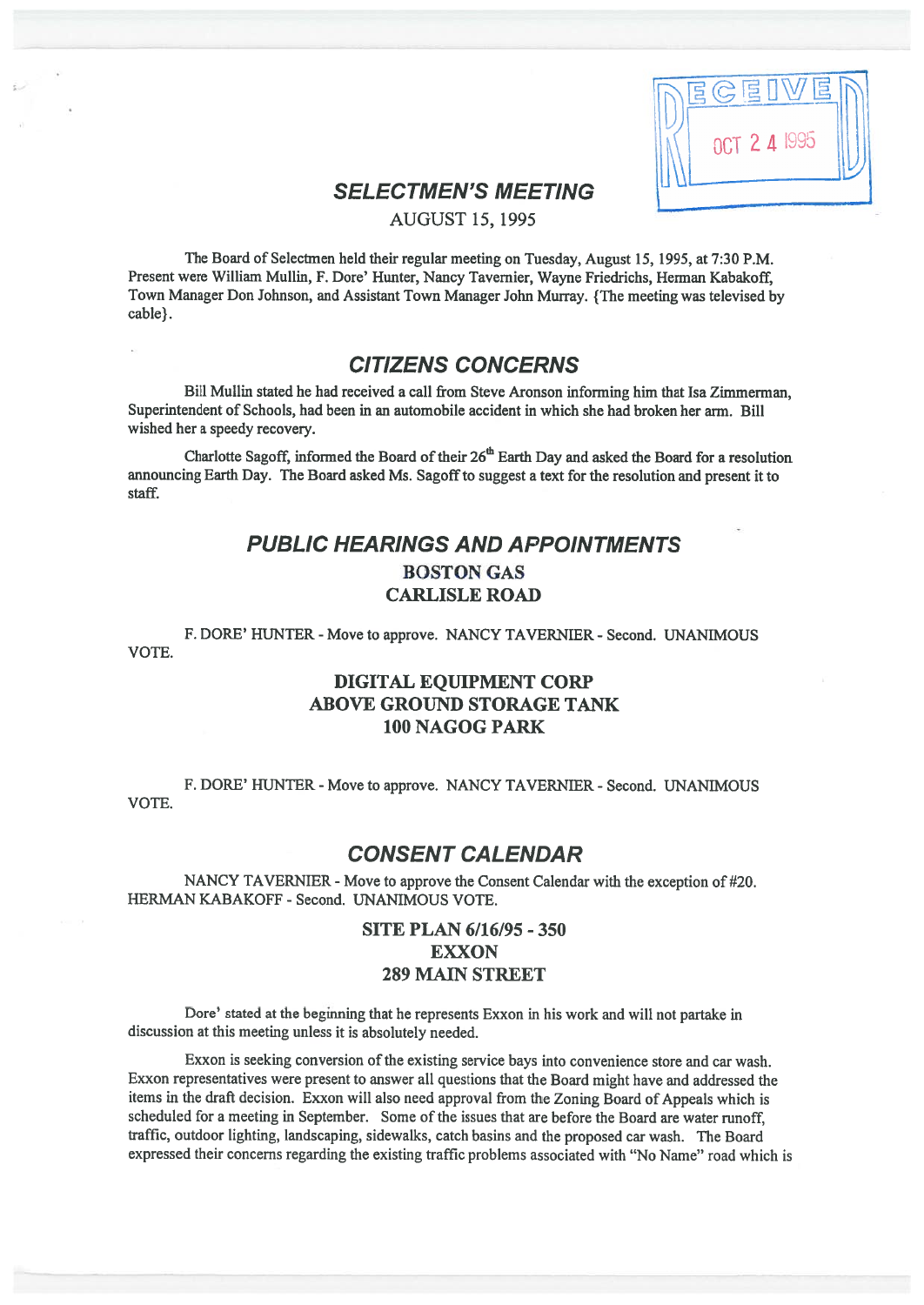| $\overline{B}$<br>$\bigvee\!\!{\cal T}$<br>EGED |  |
|-------------------------------------------------|--|
| OCT 2 4 1995                                    |  |
|                                                 |  |

# SELECTMEN'S MEETING

AUGUST 15, 1995

The Board of Selectmen held their regular meeting on Tuesday, August 15, 1995, at 7:30 P.M. Present were William Mullin, F. Dore' Hunter, Nancy Tavemier, Wayne Friedrichs, Herman Kabakoff, Town Manager Don Johnson, and Assistant Town Manager John Murray. {The meeting was televised by cable).

# CITIZENS CONCERNS

Bill Mullin stated he had received <sup>a</sup> call from Steve Aronson informing him that Isa Zimmerman, Superintendent of Schools, had been in an automobile accident in which she had broken her arm. Bill wished her <sup>a</sup> speedy recovery.

Charlotte Sagoff, informed the Board of their  $26<sup>th</sup>$  Earth Day and asked the Board for a resolution announcing Earth Day. The Board asked Ms. Sagoff to sugges<sup>t</sup> <sup>a</sup> text for the resolution and presen<sup>t</sup> it to staff.

# PUBLIC HEARINGS AND APPOINTMENTS BOSTON GAS CARLISLE ROAD

F. DORE' HUNTER - Move to approve. NANCY TAVERNIER - Second. UNANIMOUS VOTE.

## DIGITAL EQUIPMENT CORP ABOVE GROUND STORAGE TANK 100 NAGOG PARK

F. DORE' HUNTER - Move to approve. NANCY TAVERNIER - Second. UNANIMOUS VOTE.

# CONSENT CALENDAR

NANCY TAVERNIER - Move to approve the Consent Calendar with the exception of #20. HERMAN KABAKOFF - Second. UNANIMOUS VOTE.

## SITE PLAN 6/16/95 - 350 EXXON 289 MAIN STREET

Dore' stated at the beginning that he represents Exxon in his work and will not partake in discussion at this meeting unless it is absolutely needed.

Exxon is seeking conversion of the existing service bays into convenience store and car wash. Exxon representatives were presen<sup>t</sup> to answer all questions that the Board might have and addressed the items in the draft decision. Exxon will also need approva<sup>l</sup> from the Zoning Board of Appeals which is scheduled for <sup>a</sup> meeting in September. Some of the issues that are before the Board are water runoff, traffic, outdoor lighting, landscaping, sidewalks, catch basins and the proposed car wash. The Board expressed their concerns regarding the existing traffic problems associated with "No Name" road which is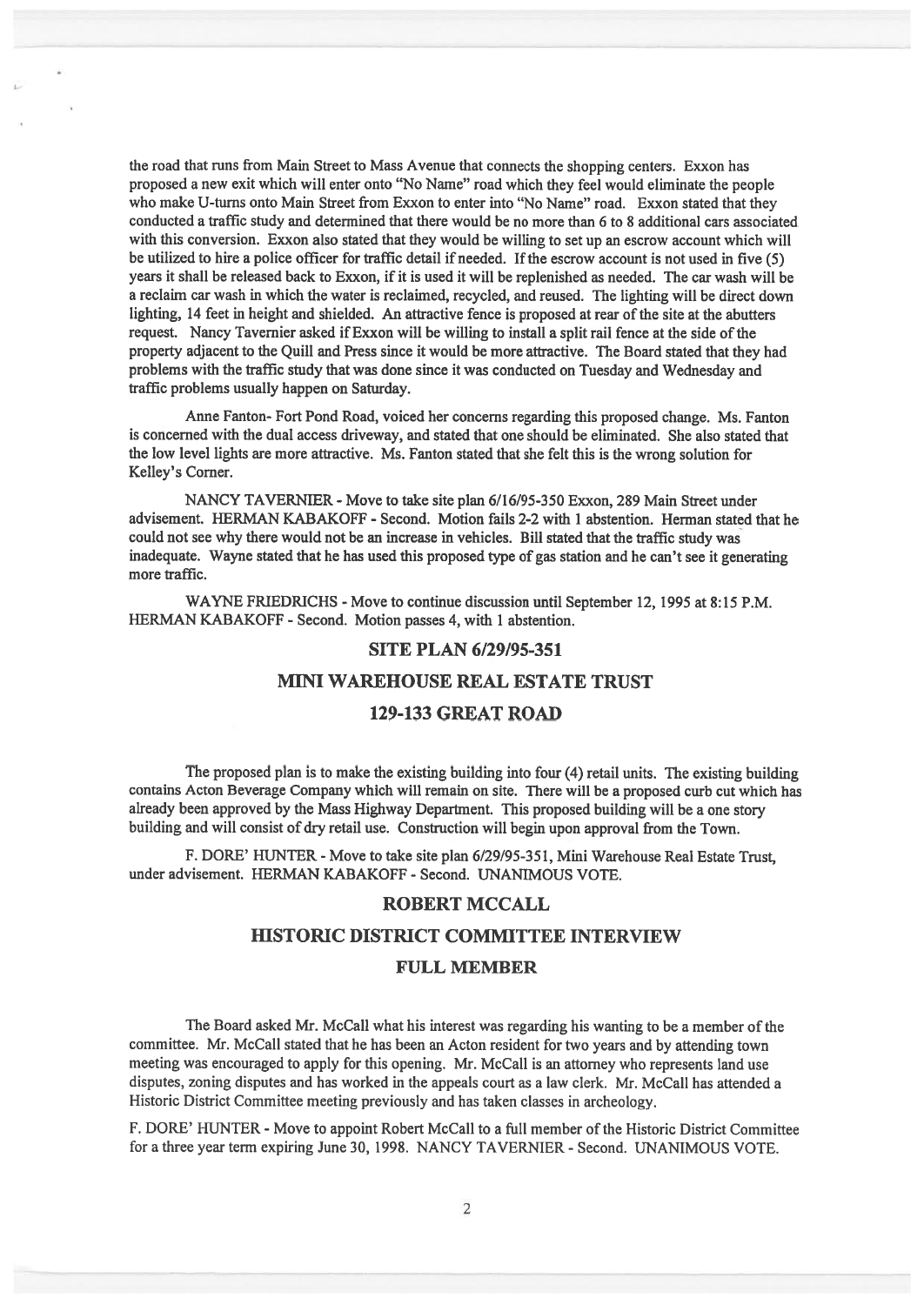the road that runs from Main Street to Mass Avenue that connects the shopping centers. Exxon has propose<sup>d</sup> <sup>a</sup> new exit which will enter onto "No Name" road which they feel would eliminate the people who make U-turns onto Main Street from Exxon to enter into "No Name" road. Exxon stated that they conducted <sup>a</sup> traffic study and determined that there would be no more than 6 to 8 additional cars associated with this conversion. Exxon also stated that they would be willing to set up an escrow account which will be utilized to hire a police officer for traffic detail if needed. If the escrow account is not used in five (5) years it shall be released back to Exxon, if it is used it will be replenished as needed. The car wash will be <sup>a</sup> reclaim car wash in which the water is reclaimed, recycled, and reused. The lighting will be direct down lighting, 14 feet in height and shielded. An attractive fence is proposed at rear of the site at the abutters request. Nancy Tavemier asked if Exxon will be willing to install <sup>a</sup> split rail fence at the side ofthe property adjacent to the Quill and Press since it would be more attractive. The Board stated that they had problems with the traffic study that was done since it was conducted on Tuesday and Wednesday and traffic problems usually happen on Saturday.

Anne fanton- Fort Pond Road, voiced her concerns regarding this proposed change. Ms. Fanton is concerned with the dual access driveway, and stated that one should be eliminated. She also stated that the low level lights are more attractive. Ms. Fanton stated that she felt this is the wrong solution for Kelley's Corner.

NANCY TAVERNIER - Move to take site plan 6/16/95-350 Exxon, 289 Main Street under advisement. HERMAN KABAKOFF - Second. Motion fails 2-2 with 1 abstention. Herman stated that he could not see why there would not be an increase in vehicles. Bill stated that the traffic study was inadequate. Wayne stated that he has used this propose<sup>d</sup> type of gas station and he can't see it generating more traffic.

WAYNE FRIEDRICHS - Move to continue discussion until September 12, 1995 at 8:15 P.M. HERMAN KABAKOFF - Second. Motion passes 4, with 1 abstention.

#### SITE PLAN 6/29/95-351

#### MINI WAREHOUSE REAL ESTATE TRUST

#### 129-133 GREAT ROAD

The propose<sup>d</sup> <sup>p</sup>lan is to make the existing building into four (4) retail units. The existing building contains Acton Beverage Company which will remain on site. There will be <sup>a</sup> proposed curb cut which has already been approve<sup>d</sup> by the Mass Highway Department. This propose<sup>d</sup> building will be <sup>a</sup> one story building and will consist of dry retail use. Construction will begin upon approva<sup>l</sup> from the Town.

F. DORE' HUNTER - Move to take site plan 6/29/95-351, Mini Warehouse Real Estate Trust, under advisement. HERMAN KABAKOFF - Second. UNANIMOUS VOTE.

#### ROBERT MCCALL

#### HISTORIC DISTRICT COMMITTEE INTERVIEW

#### FULL MEMBER

The Board asked Mr. McCall what his interest was regarding his wanting to be <sup>a</sup> member of the committee. Mr. McCall stated that he has been an Acton resident for two years and by attending town meeting was encourage<sup>d</sup> to apply for this opening. Mr. McCall is an attorney who represents land use disputes, zoning disputes and has worked in the appeals court as <sup>a</sup> law clerk. Mr. McCall has attended <sup>a</sup> Historic District Committee meeting previously and has taken classes in archeology.

F. DORE' HUNTER - Move to appoint Robert McCall to <sup>a</sup> full member of the Historic District Committee for <sup>a</sup> three year term expiring June 30, 1998. NANCY TAVERNIER - Second. UNANIMOUS VOTE.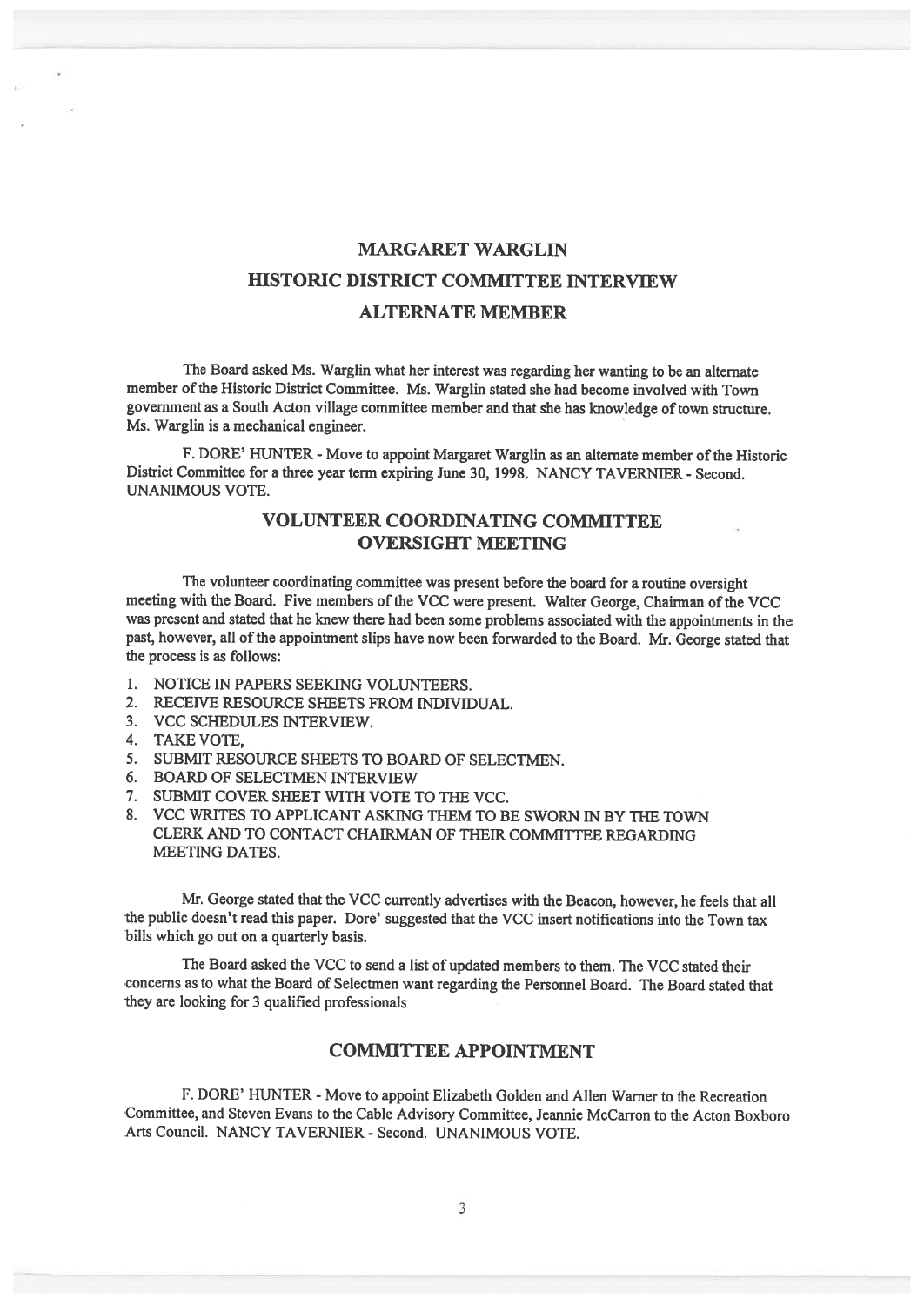# MARGARET WARGLIN HISTORIC DISTRICT COMMITTEE INTERVIEW ALTERNATE MEMBER

The Board asked Ms. Warglin what her interest was regarding her wanting to be an alternate member of the Historic District Committee. Ms. Warglin stated she had become involved with Town governmen<sup>t</sup> as <sup>a</sup> South Acton village committee member and that she has knowledge oftown structure. Ms. Warglin is <sup>a</sup> mechanical engineer.

F. DORE' HUNTER - Move to appoint Margaret Warglin as an alternate member of the Historic District Committee for <sup>a</sup> three year term expiring June 30, 1998. NANCY TAVERNIER - Second. UNANIMOUS VOTE.

## VOLUNTEER COORDINATING COMMITTEE OVERSIGHT MEETING

The volunteer coordinating committee was presen<sup>t</sup> before the board for <sup>a</sup> routine oversight meeting with the Board. Five members of the VCC were present. Walter George, Chairman of the VCC was presen<sup>t</sup> and stated that he knew there had been some problems associated with the appointments in the past, however, all of the appointment slips have now been forwarded to the Board. Mr. George stated that the process is as follows:

- 1. NOTICE IN PAPERS SEEKING VOLUNTEERS.
- 2. RECEIVE RESOURCE SHEETS FROM INDIVIDUAL.
- 3. VCC SCHEDULES INTERVIEW.
- 4. TAKE VOTE,
- 5. SUBMIT RESOURCE SHEETS TO BOARD OF SELECTMEN.
- 6. BOARD OF SELECTMEN INTERVIEW
- 7. SUBMIT COVER SHEET WITH VOTE TO THE VCC.
- 8. VCC WRITES TO APPLICANT ASKING THEM TO BE SWORN IN BY THE TOWN CLERK AND TO CONTACT CHAIRMAN Of THEIR COMMITTEE REGARDiNG MEETING DATES.

Mr. George stated that the VCC currently advertises with the Beacon, however, he feels that all the public doesn't read this paper. Dore' suggested that the VCC insert notifications into the Town tax bills which go out on <sup>a</sup> quarterly basis.

The Board asked the VCC to send <sup>a</sup> list of updated members to them. The VCC stated their concerns as to what the Board of Selectmen want regarding the Personnel Board. The Board stated that they are looking for 3 qualified professionals

## COMMITTEE APPOINTMENT

F. DORE' HUNTER - Move to appoint Elizabeth Golden and Allen Warner to the Recreation Committee, and Steven Evans to the Cable Advisory Committee, Jeannie McCarron to the Acton Boxboro Arts Council. NANCY TAVERNIER - Second. UNANIMOUS VOTE.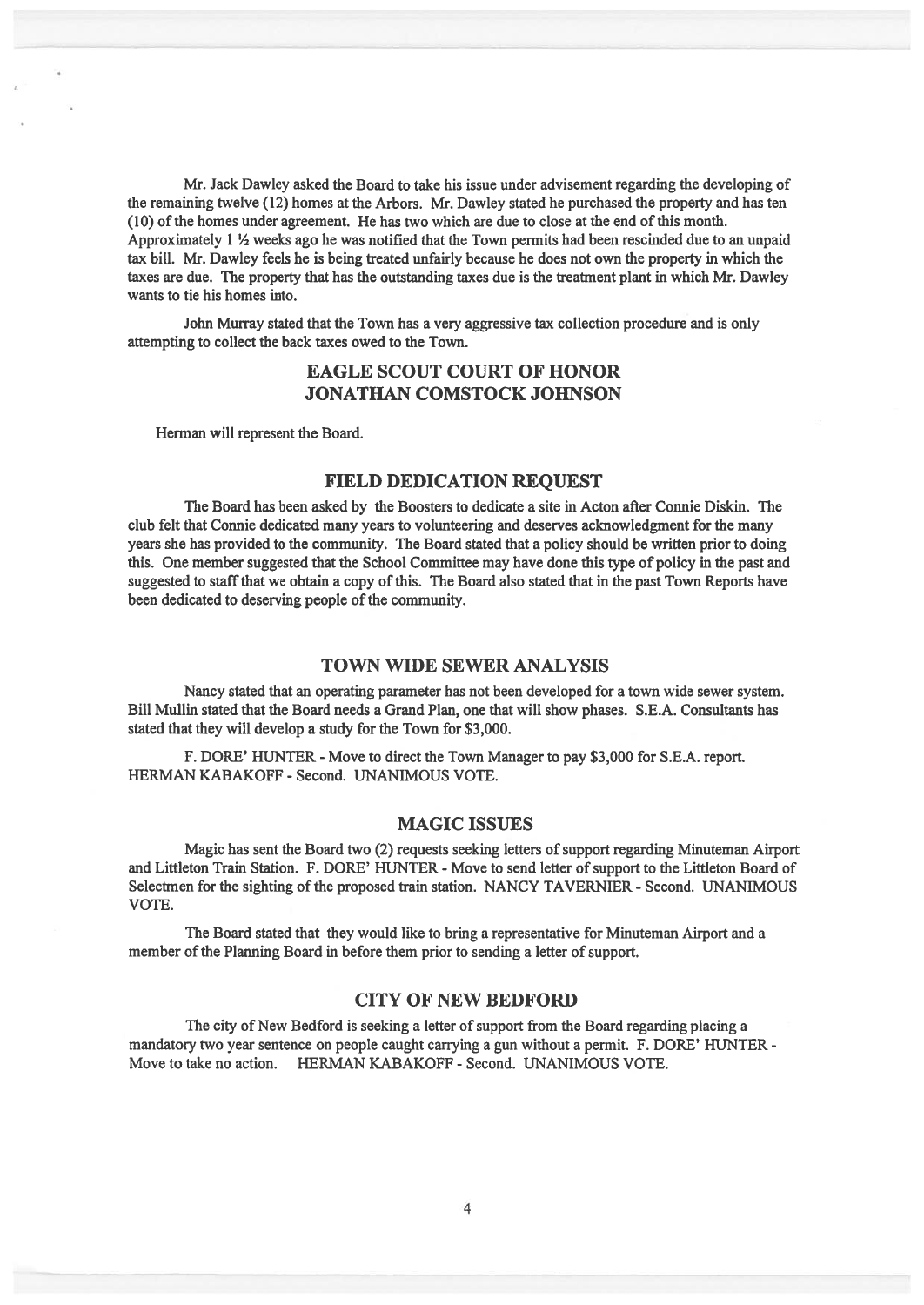Mr. Jack Dawley asked the Board to take his issue under advisement regarding the developing of the remaining twelve (12) homes at the Arbors. Mr. Dawley stated he purchased the property and has ten (10) of the homes under agreement. He has two which are due to close at the end ofthis month. Approximately  $1 \frac{1}{2}$  weeks ago he was notified that the Town permits had been rescinded due to an unpaid tax bill. Mr. Dawley feels he is being treated unfairly because he does not own the property in which the taxes are due. The property that has the outstanding taxes due is the treatment plant in which Mr. Dawley wants to tie his homes into.

John Murray stated that the Town has <sup>a</sup> very aggressive tax collection procedure and is only attempting to collect the back taxes owed to the Town.

## EAGLE SCOUT COURT OF HONOR JONATHAN COMSTOCK JOHNSON

Herman will represen<sup>t</sup> the Board.

#### FIELD DEDICATION REQUEST

The Board has been asked by the Boosters to dedicate <sup>a</sup> site in Acton after Connie Diskin. The club felt that Connie dedicated many years to volunteering and deserves acknowledgment for the many years she has provided to the community. The Board stated that <sup>a</sup> policy should be written prior to doing this. One member suggested that the School Committee may have done this type of policy in the pas<sup>t</sup> and suggested to staff that we obtain a copy of this. The Board also stated that in the past Town Reports have been dedicated to deserving people of the community.

## TOWN WIDE SEWER ANALYSIS

Nancy stated that an operating parameter has not been developed for <sup>a</sup> town wide sewer system. Bill Mullin stated that the Board needs <sup>a</sup> Grand Plan, one that will show phases. S.E.A. Consultants has stated that they will develop <sup>a</sup> study for the Town for \$3,000.

F. DORE' HUNTER - Move to direct the Town Manager to pay \$3,000 for S.E.A. report. HERMAN KABAKOFF - Second. UNANIMOUS VOTE.

#### MAGIC ISSUES

Magic has sent the Board two (2) requests seeking letters of support regarding Minuteman Airport and Littleton Train Station. F. DORE' FIUNTER - Move to send letter of suppor<sup>t</sup> to the Littleton Board of Selectmen for the sighting of the propose<sup>d</sup> train station. NANCY TAVERNIER - Second. UNANIMOUS VOTE.

The Board stated that they would like to bring <sup>a</sup> representative for Minuteman Airport and <sup>a</sup> member of the Planning Board in before them prior to sending a letter of support.

#### CITY OF NEW BEDFORD

The city of New Bedford is seeking a letter of support from the Board regarding placing a mandatory two year sentence on people caught carrying <sup>a</sup> gun without <sup>a</sup> permit. F. DORE' HUNTER - Move to take no action. HERMAN KABAKOFF - Second. UNANIMOUS VOTE.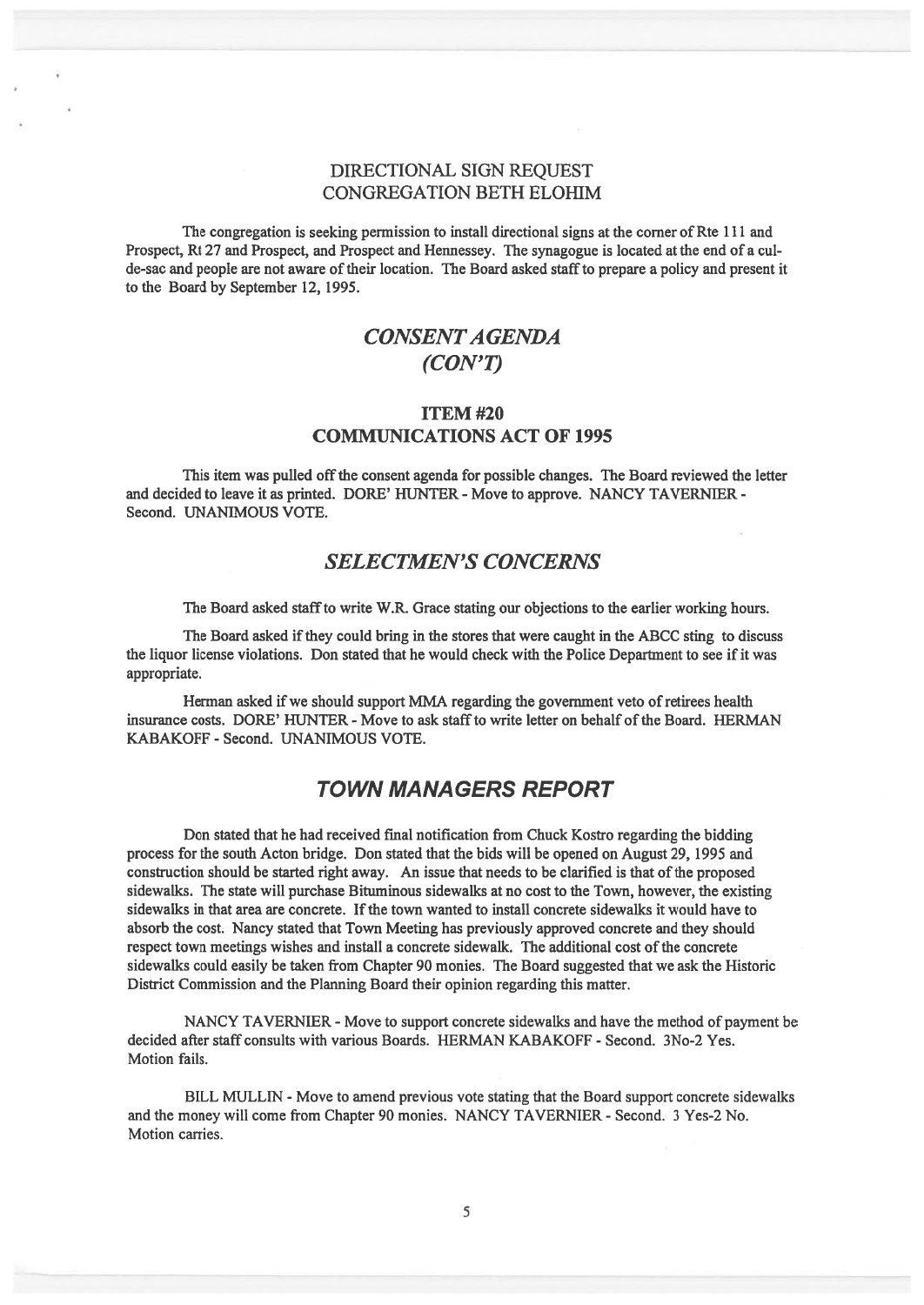## DIRECTIONAL SIGN REQUEST CONGREGATION BETH ELOHIM

The congregation is seeking permission to install directional signs at the corner of Rte 111 and Prospect, Rt 27 and Prospect, and Prospect and Hennessey. The synagogue is located at the end of <sup>a</sup> cul de-sac and people are not aware oftheir location. The Board asked staffto prepare <sup>a</sup> policy and presen<sup>t</sup> it to the Board by September 12, 1995.

# CONSENTAGENDA (CON'T)

## ITEM #20 COMMUNICATIONS ACT OF 1995

This item was pulled off the consent agenda for possible changes. The Board reviewed the letter and decided to leave it as printed. DORE' HUNTER - Move to approve. NANCY TAVERNIER -Second. UNANIMOUS VOTE.

## SELECTMEN'S CONCERNS

The Board asked staffto write W.R. Grace stating our objections to the earlier working hours.

The Board asked if they could bring in the stores that were caught in the ABCC sting to discuss the liquor license violations. Don stated that he would check with the Police Department to see if it was appropriate.

Herman asked if we should support MMA regarding the government veto of retirees health insurance costs. DORE' HUNTER - Move to ask staffto write letter on behalf ofthe Board. HERMAN KABAKOFF - Second. UNANIMOUS VOTE.

## TOWN MANAGERS REPORT

Don stated that he had received fmal notification from Chuck Kostro regarding the bidding process for the south Acton bridge. Don stated that the bids will be opened on August 29, 1995 and construction should be started right away. An issue that needs to be clarified is that of the proposed sidewalks. The state will purchase Bituminous sidewalks at no cost to the Town, however, the existing sidewalks in that area are concrete. Ifthe town wanted to install concrete sidewalks it would have to absorb the cost. Nancy stated that Town Meeting has previously approved concrete and they should respect town meetings wishes and install a concrete sidewalk. The additional cost of the concrete sidewalks could easily be taken from Chapter 90 monies. The Board suggested that we ask the Historic District Commission and the Planning Board their opinion regarding this matter.

NANCY TAVERNIER - Move to support concrete sidewalks and have the method of payment be decided after staff consults with various Boards. HERMAN KABAKOFF - Second. 3No-2 Yes. Motion fails.

BILL MULLEN - Move to amend previous vote stating that the Board suppor<sup>t</sup> concrete sidewalks and the money will come from Chapter 90 monies. NANCY TAVERNIER - Second. 3 Yes-2 No. Motion carries.